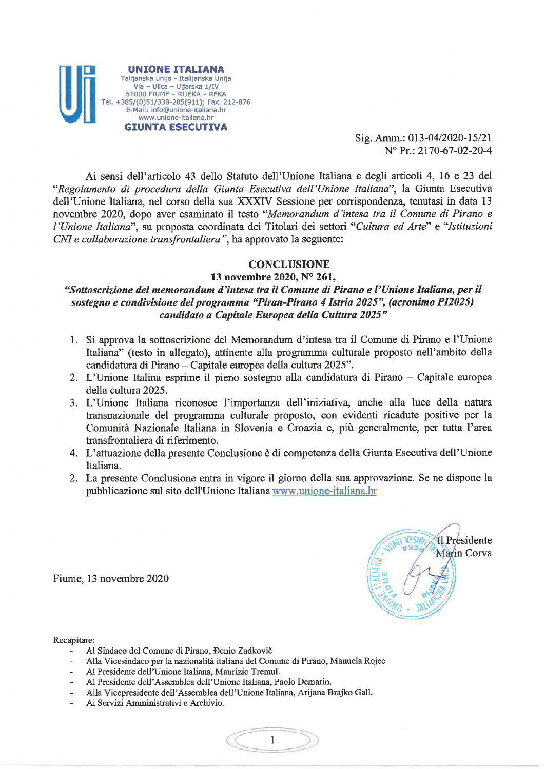

Sig. Amm.: 013-04/2020-15/21 N° Pr.: 2170-67-02-20-4

Ai sensi dell'articolo 43 dello Statuto dell'Unione Italiana e degli articoli 4, 16 e 23 del "Regolamento di procedura della Giunta Esecutiva dell'Unione Italiana", la Giunta Esecutiva dell'Unione Italiana, nel corso della sua XXXIV Sessione per corrispondenza, tenutasi in data 13 novembre 2020, dopo aver esaminato il testo "Memorandum d'intesa tra il Comune di Pirano e l'Unione Italiana", su proposta coordinata dei Titolari dei settori "Cultura ed Arte" e "Istituzioni CNI e collaborazione transfrontaliera", ha approvato la seguente:

# **CONCLUSIONE**

#### 13 novembre 2020, N° 261,

# "Sottoscrizione del memorandum d'intesa tra il Comune di Pirano e l'Unione Italiana, per il sostegno e condivisione del programma "Piran-Pirano 4 Istria 2025", (acronimo PI2025) candidato a Capitale Europea della Cultura 2025"

- 1. Si approva la sottoscrizione del Memorandum d'intesa tra il Comune di Pirano e l'Unione Italiana" (testo in allegato), attinente alla programma culturale proposto nell'ambito della candidatura di Pirano - Capitale europea della cultura 2025".
- 2. L'Unione Italina esprime il pieno sostegno alla candidatura di Pirano Capitale europea della cultura 2025.
- 3. L'Unione Italiana riconosce l'importanza dell'iniziativa, anche alla luce della natura transnazionale del programma culturale proposto, con evidenti ricadute positive per la Comunità Nazionale Italiana in Slovenia e Croazia e, più generalmente, per tutta l'area transfrontaliera di riferimento.
- 4. L'attuazione della presente Conclusione è di competenza della Giunta Esecutiva dell'Unione Italiana.
- 2. La presente Conclusione entra in vigore il giorno della sua approvazione. Se ne dispone la pubblicazione sul sito dell'Unione Italiana www.unione-italiana.hr

 $\mathbf{1}$ 

**WY CAN H** Presidente Marin Corva

Fiume, 13 novembre 2020

Recapitare:

- Al Sindaco del Comune di Pirano, Đenio Zadkovič  $\blacksquare$
- Alla Vicesindaco per la nazionalità italiana del Comune di Pirano, Manuela Rojec
- Al Presidente dell'Unione Italiana, Maurizio Tremul.
- Al Presidente dell'Assemblea dell'Unione Italiana, Paolo Demarin.  $\overline{\phantom{a}}$
- Alla Vicepresidente dell'Assemblea dell'Unione Italiana, Arijana Brajko Gall.
- Ai Servizi Amministrativi e Archivio.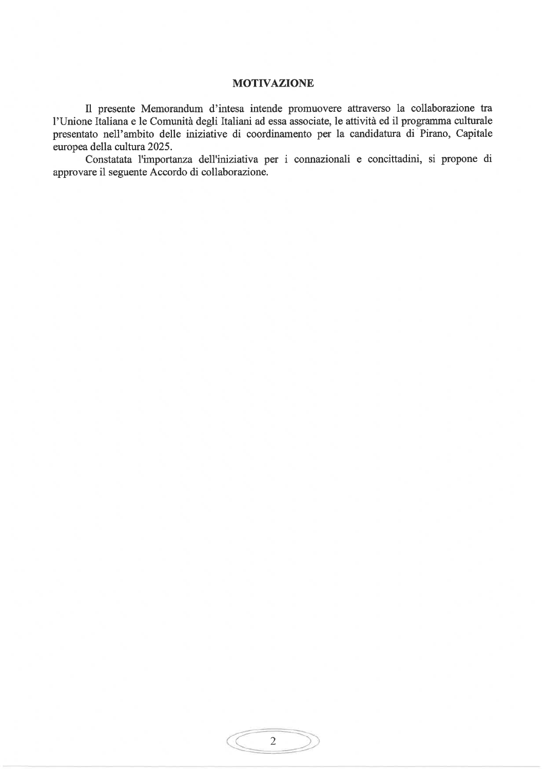#### **MOTIVAZIONE**

Il presente Memorandum d'intesa intende promuovere attraverso la collaborazione tra l'Unione Italiana e le Comunità degli Italiani ad essa associate, le attività ed il programma culturale presentato nell'ambito delle iniziative di coordinamento per la candidatura di Pirano, Capitale europea della cultura 2025.

Constatata l'importanza dell'iniziativa per i connazionali e concittadini, si propone di approvare il seguente Accordo di collaborazione.

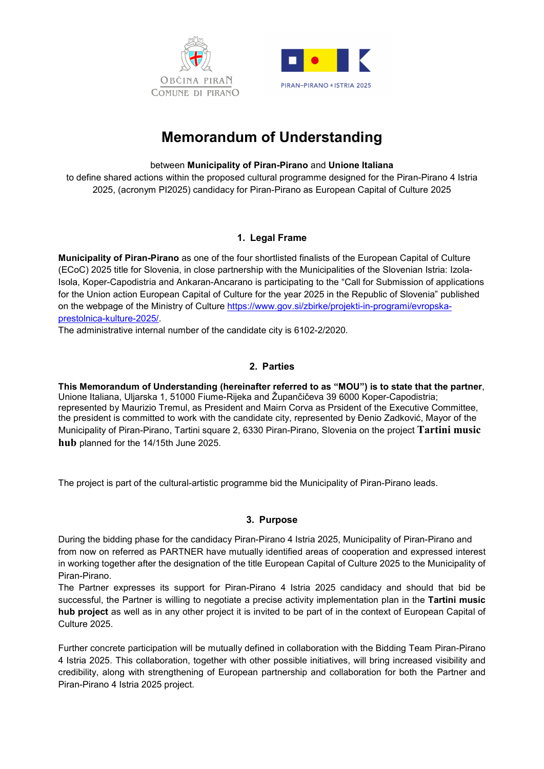



# Memorandum of Understanding

### between Municipality of Piran-Pirano and Unione Italiana

to define shared actions within the proposed cultural programme designed for the Piran-Pirano 4 Istria 2025, (acronym PI2025) candidacy for Piran-Pirano as European Capital of Culture 2025

# 1. Legal Frame

Municipality of Piran-Pirano as one of the four shortlisted finalists of the European Capital of Culture (ECoC) 2025 title for Slovenia, in close partnership with the Municipalities of the Slovenian Istria: Izola-Isola, Koper-Capodistria and Ankaran-Ancarano is participating to the "Call for Submission of applications for the Union action European Capital of Culture for the year 2025 in the Republic of Slovenia" published on the webpage of the Ministry of Culture https://www.gov.si/zbirke/projekti-in-programi/evropskaprestolnica-kulture-2025/.

The administrative internal number of the candidate city is 6102-2/2020.

# 2. Parties

This Memorandum of Understanding (hereinafter referred to as "MOU") is to state that the partner, Unione Italiana, Uljarska 1, 51000 Fiume-Rijeka and Župančičeva 39 6000 Koper-Capodistria; represented by Maurizio Tremul, as President and Mairn Corva as Prsident of the Executive Committee, the president is committed to work with the candidate city, represented by Đenio Zadković, Mayor of the Municipality of Piran-Pirano, Tartini square 2, 6330 Piran-Pirano, Slovenia on the project Tartini music hub planned for the 14/15th June 2025.

The project is part of the cultural-artistic programme bid the Municipality of Piran-Pirano leads.

# 3. Purpose

During the bidding phase for the candidacy Piran-Pirano 4 Istria 2025, Municipality of Piran-Pirano and from now on referred as PARTNER have mutually identified areas of cooperation and expressed interest in working together after the designation of the title European Capital of Culture 2025 to the Municipality of Piran-Pirano.

The Partner expresses its support for Piran-Pirano 4 Istria 2025 candidacy and should that bid be successful, the Partner is willing to negotiate a precise activity implementation plan in the Tartini music hub project as well as in any other project it is invited to be part of in the context of European Capital of Culture 2025.

Further concrete participation will be mutually defined in collaboration with the Bidding Team Piran-Pirano 4 Istria 2025. This collaboration, together with other possible initiatives, will bring increased visibility and credibility, along with strengthening of European partnership and collaboration for both the Partner and Piran-Pirano 4 Istria 2025 project.